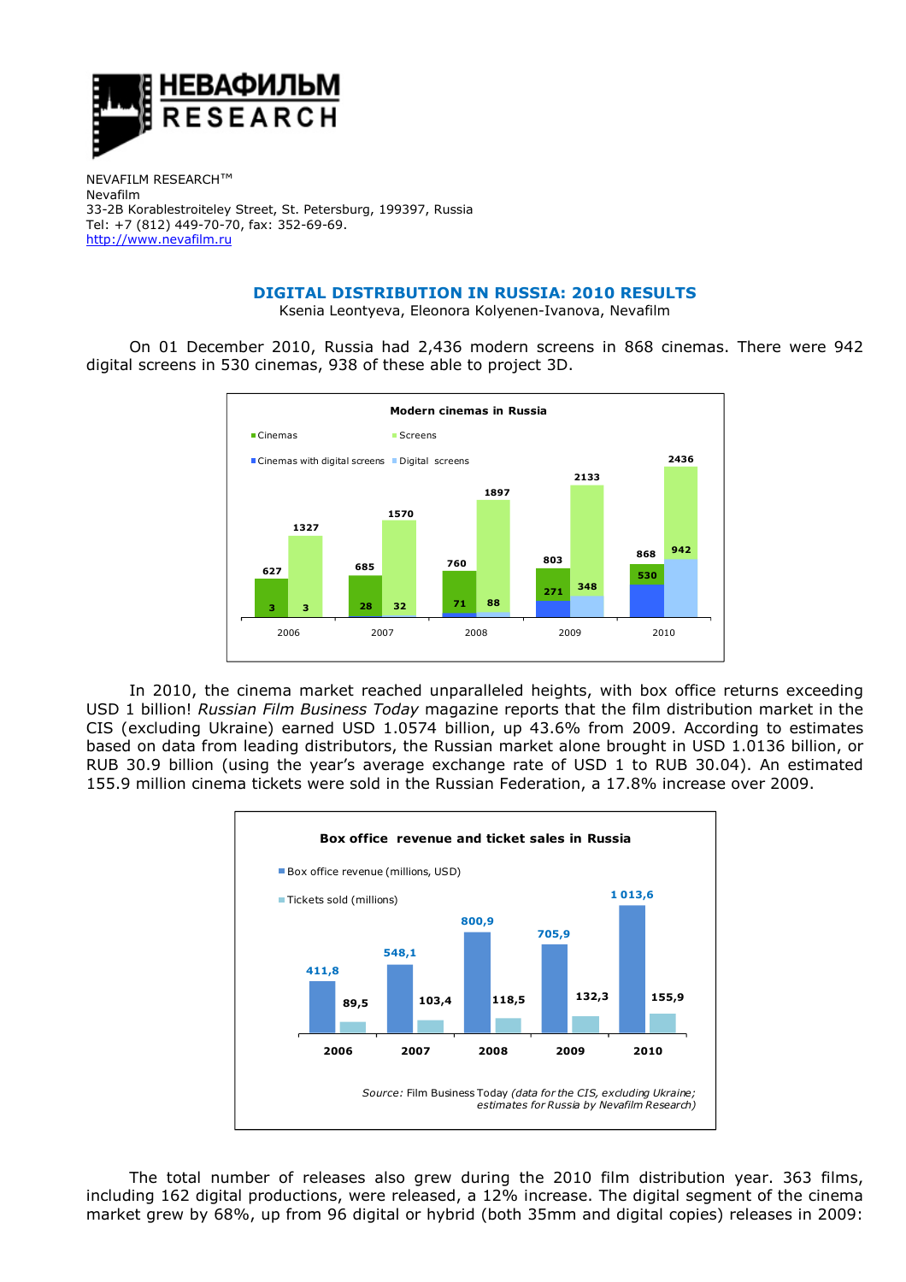

NEVAFILM RESEARCH™ Nevafilm 33-2B Korablestroiteley Street, St. Petersburg, 199397, Russia Tel: +7 (812) 449-70-70, fax: 352-69-69. http://www.nevafilm.ru

## **DIGITAL DISTRIBUTION IN RUSSIA: 2010 RESULTS**

Ksenia Leontyeva, Eleonora Kolyenen-Ivanova, Nevafilm

On 01 December 2010, Russia had 2,436 modern screens in 868 cinemas. There were 942 digital screens in 530 cinemas, 938 of these able to project 3D.



In 2010, the cinema market reached unparalleled heights, with box office returns exceeding USD 1 billion! *Russian Film Business Today* magazine reports that the film distribution market in the CIS (excluding Ukraine) earned USD 1.0574 billion, up 43.6% from 2009. According to estimates based on data from leading distributors, the Russian market alone brought in USD 1.0136 billion, or RUB 30.9 billion (using the year's average exchange rate of USD 1 to RUB 30.04). An estimated 155.9 million cinema tickets were sold in the Russian Federation, a 17.8% increase over 2009.



The total number of releases also grew during the 2010 film distribution year. 363 films, including 162 digital productions, were released, a 12% increase. The digital segment of the cinema market grew by 68%, up from 96 digital or hybrid (both 35mm and digital copies) releases in 2009: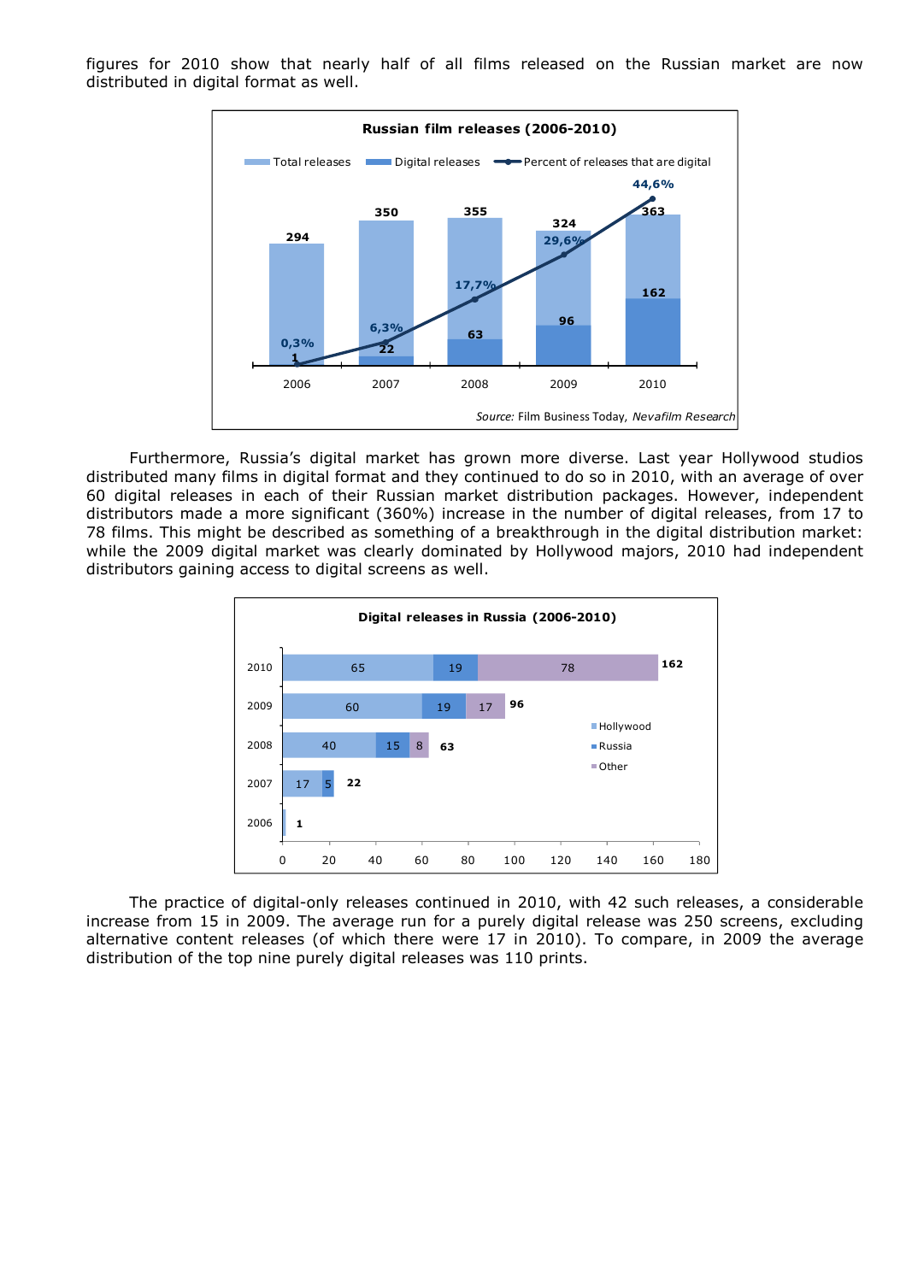figures for 2010 show that nearly half of all films released on the Russian market are now distributed in digital format as well.



Furthermore, Russia's digital market has grown more diverse. Last year Hollywood studios distributed many films in digital format and they continued to do so in 2010, with an average of over 60 digital releases in each of their Russian market distribution packages. However, independent distributors made a more significant (360%) increase in the number of digital releases, from 17 to 78 films. This might be described as something of a breakthrough in the digital distribution market: while the 2009 digital market was clearly dominated by Hollywood majors, 2010 had independent distributors gaining access to digital screens as well.



The practice of digital-only releases continued in 2010, with 42 such releases, a considerable increase from 15 in 2009. The average run for a purely digital release was 250 screens, excluding alternative content releases (of which there were 17 in 2010). To compare, in 2009 the average distribution of the top nine purely digital releases was 110 prints.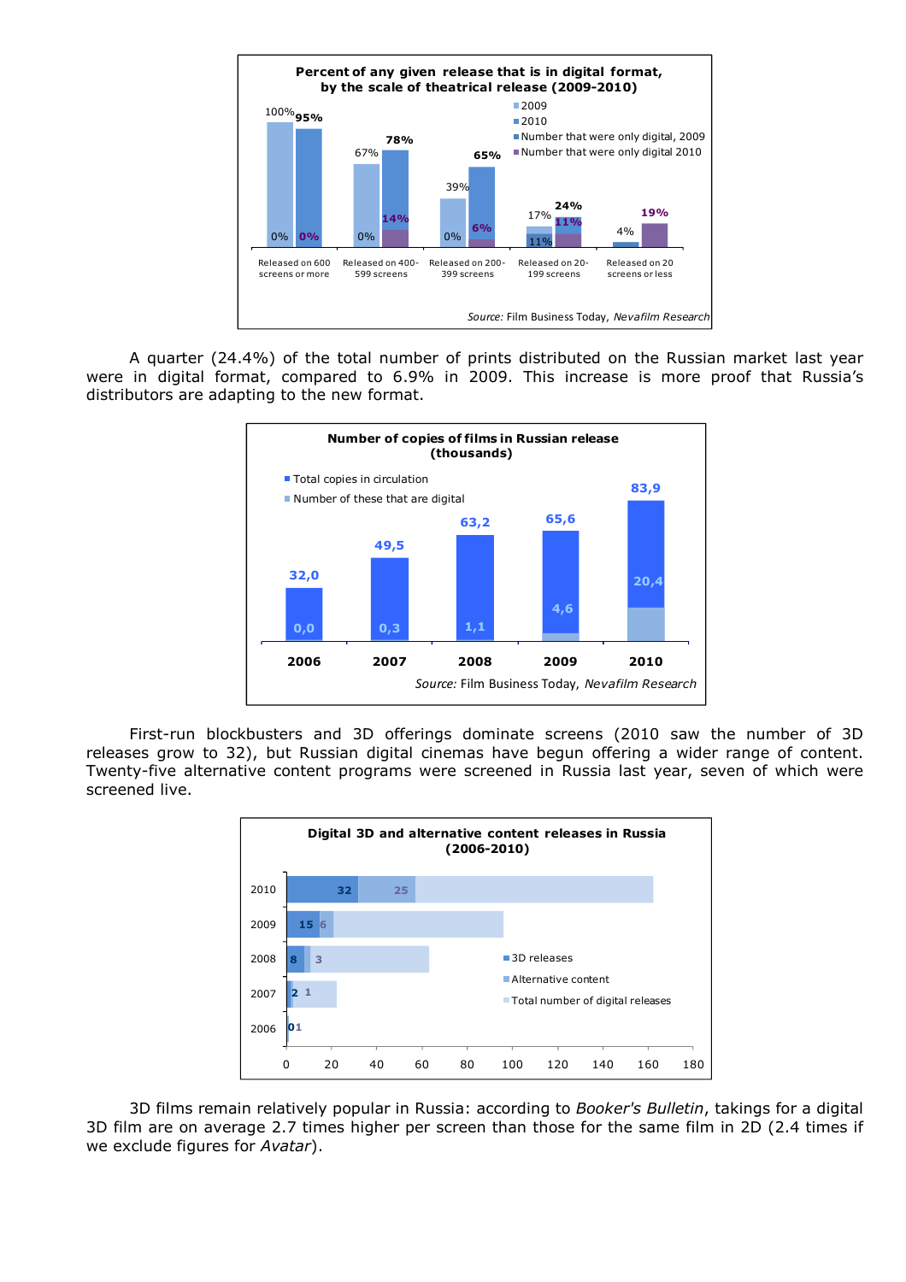

A quarter (24.4%) of the total number of prints distributed on the Russian market last year were in digital format, compared to 6.9% in 2009. This increase is more proof that Russia's distributors are adapting to the new format.



First-run blockbusters and 3D offerings dominate screens (2010 saw the number of 3D releases grow to 32), but Russian digital cinemas have begun offering a wider range of content. Twenty-five alternative content programs were screened in Russia last year, seven of which were screened live.



3D films remain relatively popular in Russia: according to *Booker's Bulletin*, takings for a digital 3D film are on average 2.7 times higher per screen than those for the same film in 2D (2.4 times if we exclude figures for *Avatar*).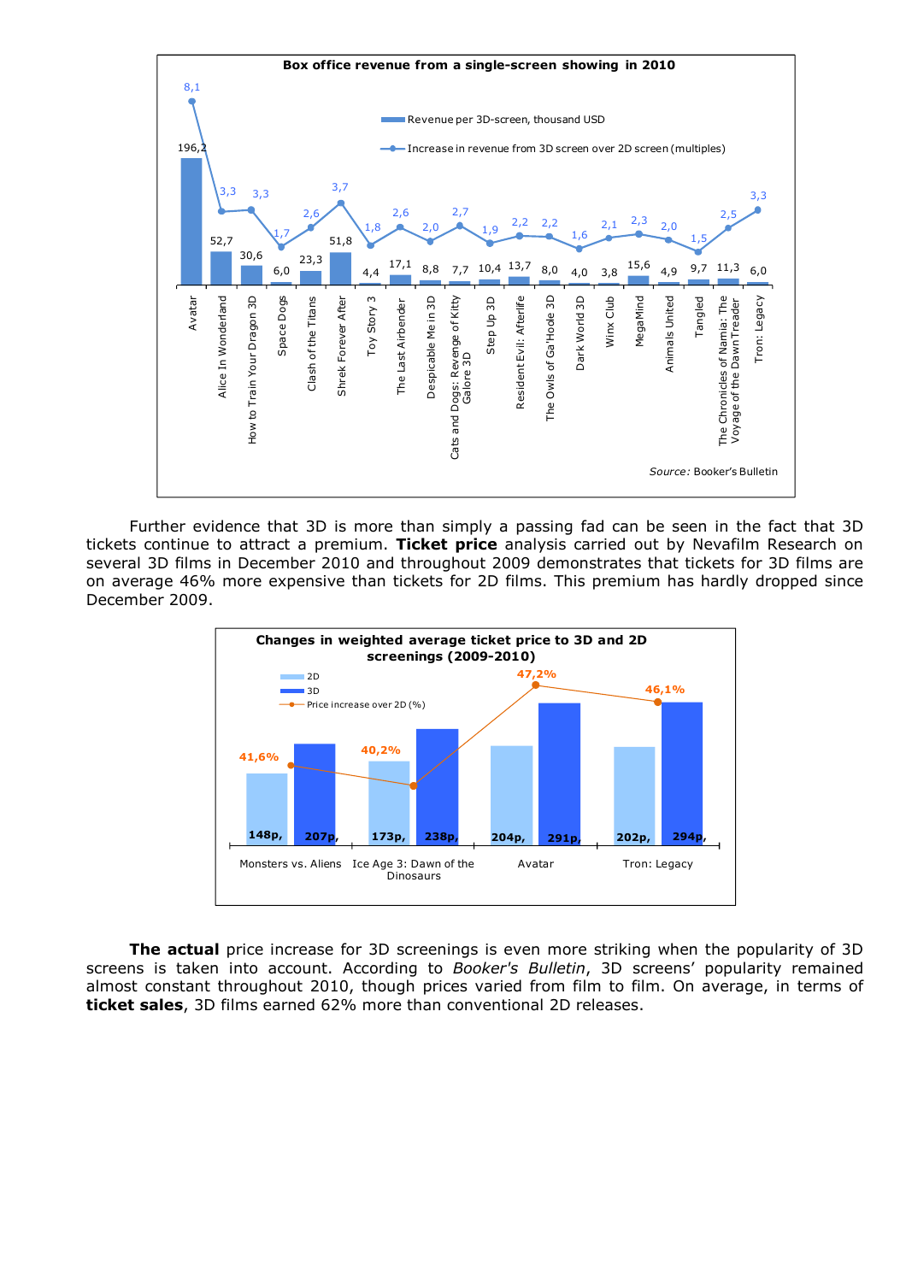

Further evidence that 3D is more than simply a passing fad can be seen in the fact that 3D tickets continue to attract a premium. **Ticket price** analysis carried out by Nevafilm Research on several 3D films in December 2010 and throughout 2009 demonstrates that tickets for 3D films are on average 46% more expensive than tickets for 2D films. This premium has hardly dropped since December 2009.



**The actual** price increase for 3D screenings is even more striking when the popularity of 3D screens is taken into account. According to *Booker's Bulletin*, 3D screens' popularity remained almost constant throughout 2010, though prices varied from film to film. On average, in terms of **ticket sales**, 3D films earned 62% more than conventional 2D releases.